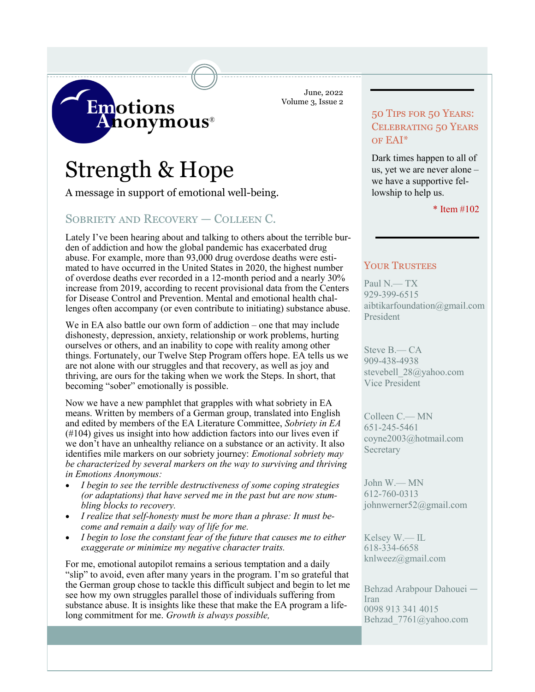June, 2022 Volume 3, Issue 2

# Strength & Hope

**Emotions** 

A message in support of emotional well-being.

**honymous**®

# Sobriety and Recovery — Colleen C.

Lately I've been hearing about and talking to others about the terrible burden of addiction and how the global pandemic has exacerbated drug abuse. For example, more than 93,000 drug overdose deaths were estimated to have occurred in the United States in 2020, the highest number of overdose deaths ever recorded in a 12-month period and a nearly 30% increase from 2019, according to recent provisional data from the Centers for Disease Control and Prevention. Mental and emotional health challenges often accompany (or even contribute to initiating) substance abuse.

We in EA also battle our own form of addiction – one that may include dishonesty, depression, anxiety, relationship or work problems, hurting ourselves or others, and an inability to cope with reality among other things. Fortunately, our Twelve Step Program offers hope. EA tells us we are not alone with our struggles and that recovery, as well as joy and thriving, are ours for the taking when we work the Steps. In short, that becoming "sober" emotionally is possible.

Now we have a new pamphlet that grapples with what sobriety in EA means. Written by members of a German group, translated into English and edited by members of the EA Literature Committee, *Sobriety in EA*  (#104) gives us insight into how addiction factors into our lives even if we don't have an unhealthy reliance on a substance or an activity. It also identifies mile markers on our sobriety journey: *Emotional sobriety may be characterized by several markers on the way to surviving and thriving in Emotions Anonymous:*

- *I begin to see the terrible destructiveness of some coping strategies (or adaptations) that have served me in the past but are now stumbling blocks to recovery.*
- *I realize that self-honesty must be more than a phrase: It must become and remain a daily way of life for me.*
- *I begin to lose the constant fear of the future that causes me to either exaggerate or minimize my negative character traits.*

For me, emotional autopilot remains a serious temptation and a daily "slip" to avoid, even after many years in the program. I'm so grateful that the German group chose to tackle this difficult subject and begin to let me see how my own struggles parallel those of individuals suffering from substance abuse. It is insights like these that make the EA program a lifelong commitment for me. *Growth is always possible,*

# 50 Tips for 50 Years: Celebrating 50 Years of EAI\*

Dark times happen to all of us, yet we are never alone – we have a supportive fellowship to help us.

\* Item #102

### YOUR TRUSTEES

Paul N.— TX 929-399-6515 aibtikarfoundation@gmail.com President

Steve B.— CA 909-438-4938 stevebell 28@yahoo.com Vice President

Colleen C.— MN 651-245-5461 coyne2003@hotmail.com **Secretary** 

John W.— MN 612-760-0313 johnwerner52@gmail.com

Kelsey W.— IL 618-334-6658 knlweez@gmail.com

Behzad Arabpour Dahouei — Iran 0098 913 341 4015 Behzad\_7761@yahoo.com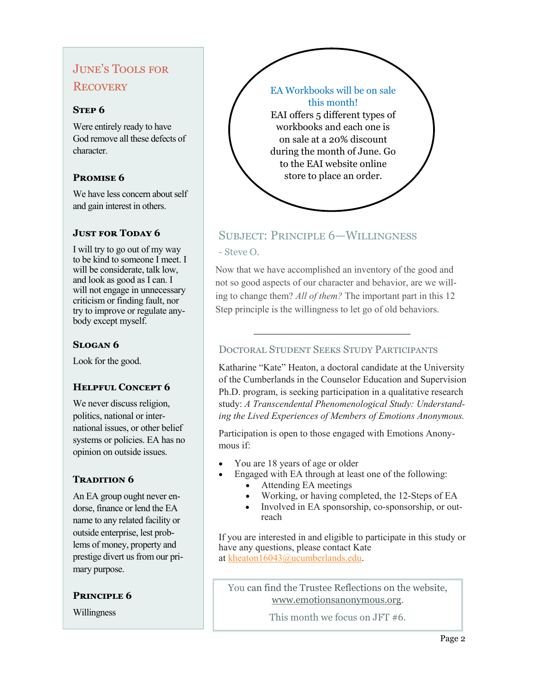# June's Tools for **RECOVERY**

### **STEP 6**

Were entirely ready to have God remove all these defects of character.

# **Promise 6**

We have less concern about self and gain interest in others.

### **JUST FOR TODAY 6**

I will try to go out of my way to be kind to someone I meet. I will be considerate, talk low, and look as good as I can. I will not engage in unnecessary criticism or finding fault, nor try to improve or regulate anybody except myself.

# **Slogan 6**

Look for the good.

## **Helpful Concept 6**

We never discuss religion, politics, national or international issues, or other belief systems or policies. EA has no opinion on outside issues.

## **TRADITION 6**

An EA group ought never endorse, finance or lend the EA name to any related facility or outside enterprise, lest problems of money, property and prestige divert us from our primary purpose.

### **Principle 6**

Willingness



# Subject: Principle 6—Willingness - Steve O.

Now that we have accomplished an inventory of the good and not so good aspects of our character and behavior, are we willing to change them? *All of them?* The important part in this 12 Step principle is the willingness to let go of old behaviors.

# Doctoral Student Seeks Study Participants

Katharine "Kate" Heaton, a doctoral candidate at the University of the Cumberlands in the Counselor Education and Supervision Ph.D. program, is seeking participation in a qualitative research study: *A Transcendental Phenomenological Study: Understanding the Lived Experiences of Members of Emotions Anonymous.* 

Participation is open to those engaged with Emotions Anonymous if:

- You are 18 years of age or older
- Engaged with EA through at least one of the following:
	- Attending EA meetings
		- Working, or having completed, the 12-Steps of EA
		- Involved in EA sponsorship, co-sponsorship, or outreach

If you are interested in and eligible to participate in this study or have any questions, please contact Kate at [kheaton16043@ucumberlands.edu.](mailto:kheaton16043@ucumberlands.edu)

You can find the Trustee Reflections on the website, [www.emotionsanonymous.org.](https://www.emotionsanonymous.org)

This month we focus on JFT #6.